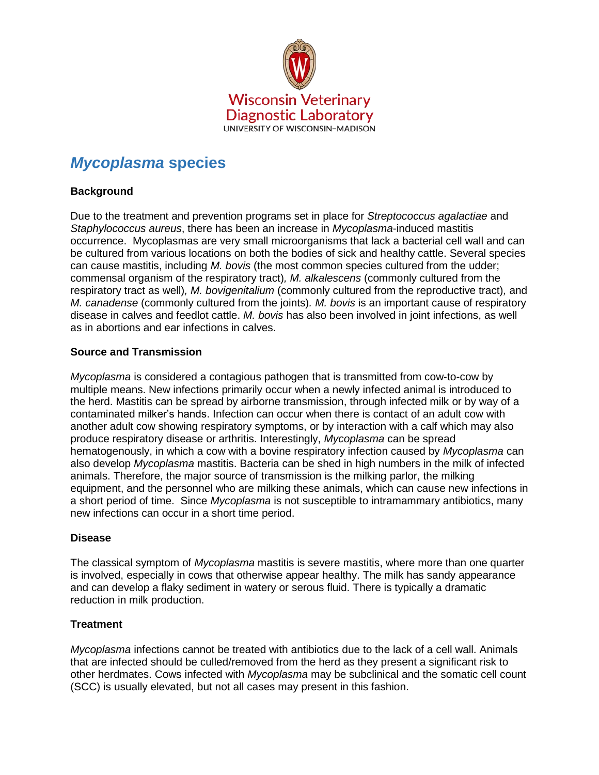

# *Mycoplasma* **species**

## **Background**

Due to the treatment and prevention programs set in place for *Streptococcus agalactiae* and *Staphylococcus aureus*, there has been an increase in *Mycoplasma*-induced mastitis occurrence. Mycoplasmas are very small microorganisms that lack a bacterial cell wall and can be cultured from various locations on both the bodies of sick and healthy cattle. Several species can cause mastitis, including *M. bovis* (the most common species cultured from the udder; commensal organism of the respiratory tract)*, M. alkalescens* (commonly cultured from the respiratory tract as well)*, M. bovigenitalium* (commonly cultured from the reproductive tract)*,* and *M. canadense* (commonly cultured from the joints)*. M. bovis* is an important cause of respiratory disease in calves and feedlot cattle. *M. bovis* has also been involved in joint infections, as well as in abortions and ear infections in calves.

### **Source and Transmission**

*Mycoplasma* is considered a contagious pathogen that is transmitted from cow-to-cow by multiple means. New infections primarily occur when a newly infected animal is introduced to the herd. Mastitis can be spread by airborne transmission, through infected milk or by way of a contaminated milker's hands. Infection can occur when there is contact of an adult cow with another adult cow showing respiratory symptoms, or by interaction with a calf which may also produce respiratory disease or arthritis. Interestingly, *Mycoplasma* can be spread hematogenously, in which a cow with a bovine respiratory infection caused by *Mycoplasma* can also develop *Mycoplasma* mastitis. Bacteria can be shed in high numbers in the milk of infected animals. Therefore, the major source of transmission is the milking parlor, the milking equipment, and the personnel who are milking these animals, which can cause new infections in a short period of time. Since *Mycoplasma* is not susceptible to intramammary antibiotics, many new infections can occur in a short time period.

#### **Disease**

The classical symptom of *Mycoplasma* mastitis is severe mastitis, where more than one quarter is involved, especially in cows that otherwise appear healthy. The milk has sandy appearance and can develop a flaky sediment in watery or serous fluid. There is typically a dramatic reduction in milk production.

## **Treatment**

*Mycoplasma* infections cannot be treated with antibiotics due to the lack of a cell wall. Animals that are infected should be culled/removed from the herd as they present a significant risk to other herdmates. Cows infected with *Mycoplasma* may be subclinical and the somatic cell count (SCC) is usually elevated, but not all cases may present in this fashion.